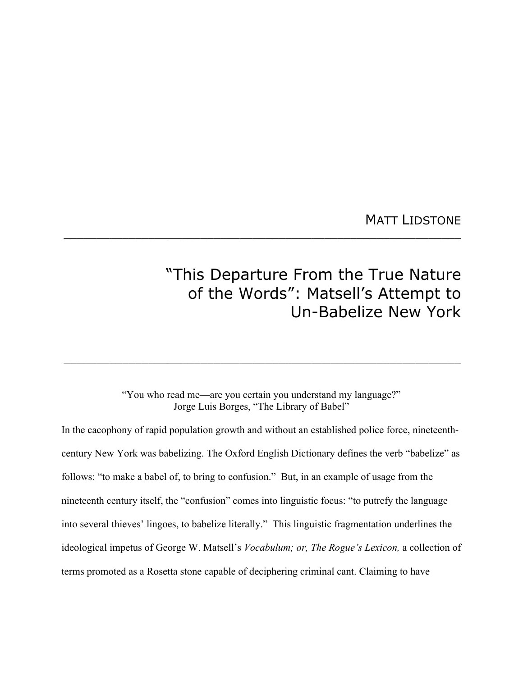MATT LIDSTONE

# "This Departure From the True Nature of the Words": Matsell's Attempt to Un-Babelize New York

## "You who read me—are you certain you understand my language?" Jorge Luis Borges, "The Library of Babel"

\_\_\_\_\_\_\_\_\_\_\_\_\_\_\_\_\_\_\_\_\_\_\_\_\_\_\_\_\_\_\_\_\_\_\_\_\_\_\_\_\_\_\_\_\_\_\_\_\_\_\_\_\_\_\_\_\_\_\_\_\_

 $\_$  , and the set of the set of the set of the set of the set of the set of the set of the set of the set of the set of the set of the set of the set of the set of the set of the set of the set of the set of the set of th

In the cacophony of rapid population growth and without an established police force, nineteenthcentury New York was babelizing. The Oxford English Dictionary defines the verb "babelize" as follows: "to make a babel of, to bring to confusion." But, in an example of usage from the nineteenth century itself, the "confusion" comes into linguistic focus: "to putrefy the language into several thieves' lingoes, to babelize literally." This linguistic fragmentation underlines the ideological impetus of George W. Matsell's *Vocabulum; or, The Rogue's Lexicon,* a collection of terms promoted as a Rosetta stone capable of deciphering criminal cant. Claiming to have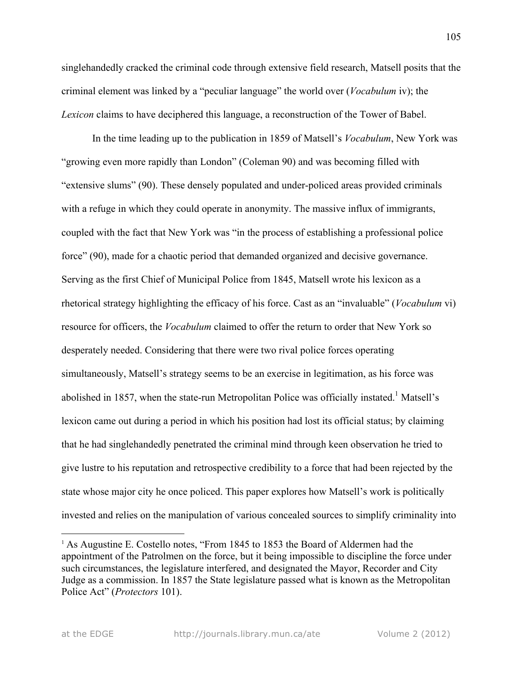singlehandedly cracked the criminal code through extensive field research, Matsell posits that the criminal element was linked by a "peculiar language" the world over (*Vocabulum* iv); the *Lexicon* claims to have deciphered this language, a reconstruction of the Tower of Babel.

In the time leading up to the publication in 1859 of Matsell's *Vocabulum*, New York was "growing even more rapidly than London" (Coleman 90) and was becoming filled with "extensive slums" (90). These densely populated and under-policed areas provided criminals with a refuge in which they could operate in anonymity. The massive influx of immigrants, coupled with the fact that New York was "in the process of establishing a professional police force" (90), made for a chaotic period that demanded organized and decisive governance. Serving as the first Chief of Municipal Police from 1845, Matsell wrote his lexicon as a rhetorical strategy highlighting the efficacy of his force. Cast as an "invaluable" (*Vocabulum* vi) resource for officers, the *Vocabulum* claimed to offer the return to order that New York so desperately needed. Considering that there were two rival police forces operating simultaneously, Matsell's strategy seems to be an exercise in legitimation, as his force was abolished in 1857, when the state-run Metropolitan Police was officially instated.<sup>1</sup> Matsell's lexicon came out during a period in which his position had lost its official status; by claiming that he had singlehandedly penetrated the criminal mind through keen observation he tried to give lustre to his reputation and retrospective credibility to a force that had been rejected by the state whose major city he once policed. This paper explores how Matsell's work is politically invested and relies on the manipulation of various concealed sources to simplify criminality into

<sup>&</sup>lt;sup>1</sup> As Augustine E. Costello notes, "From 1845 to 1853 the Board of Aldermen had the appointment of the Patrolmen on the force, but it being impossible to discipline the force under such circumstances, the legislature interfered, and designated the Mayor, Recorder and City Judge as a commission. In 1857 the State legislature passed what is known as the Metropolitan Police Act" (*Protectors* 101).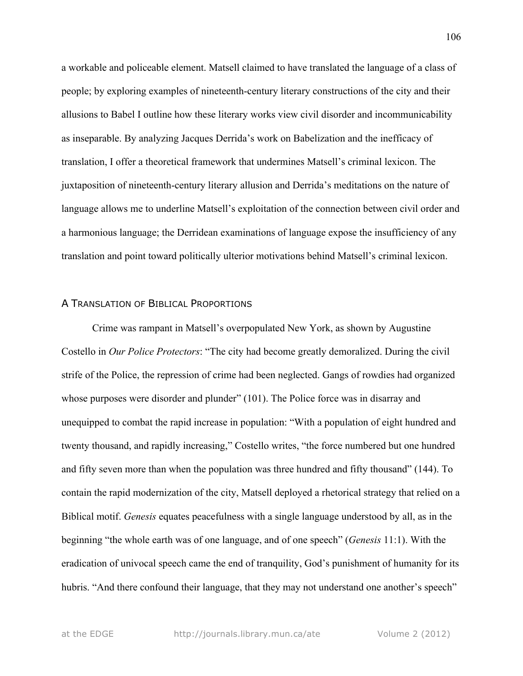a workable and policeable element. Matsell claimed to have translated the language of a class of people; by exploring examples of nineteenth-century literary constructions of the city and their allusions to Babel I outline how these literary works view civil disorder and incommunicability as inseparable. By analyzing Jacques Derrida's work on Babelization and the inefficacy of translation, I offer a theoretical framework that undermines Matsell's criminal lexicon. The juxtaposition of nineteenth-century literary allusion and Derrida's meditations on the nature of language allows me to underline Matsell's exploitation of the connection between civil order and a harmonious language; the Derridean examinations of language expose the insufficiency of any translation and point toward politically ulterior motivations behind Matsell's criminal lexicon.

#### A TRANSLATION OF BIBLICAL PROPORTIONS

Crime was rampant in Matsell's overpopulated New York, as shown by Augustine Costello in *Our Police Protectors*: "The city had become greatly demoralized. During the civil strife of the Police, the repression of crime had been neglected. Gangs of rowdies had organized whose purposes were disorder and plunder" (101). The Police force was in disarray and unequipped to combat the rapid increase in population: "With a population of eight hundred and twenty thousand, and rapidly increasing," Costello writes, "the force numbered but one hundred and fifty seven more than when the population was three hundred and fifty thousand" (144). To contain the rapid modernization of the city, Matsell deployed a rhetorical strategy that relied on a Biblical motif. *Genesis* equates peacefulness with a single language understood by all, as in the beginning "the whole earth was of one language, and of one speech" (*Genesis* 11:1). With the eradication of univocal speech came the end of tranquility, God's punishment of humanity for its hubris. "And there confound their language, that they may not understand one another's speech"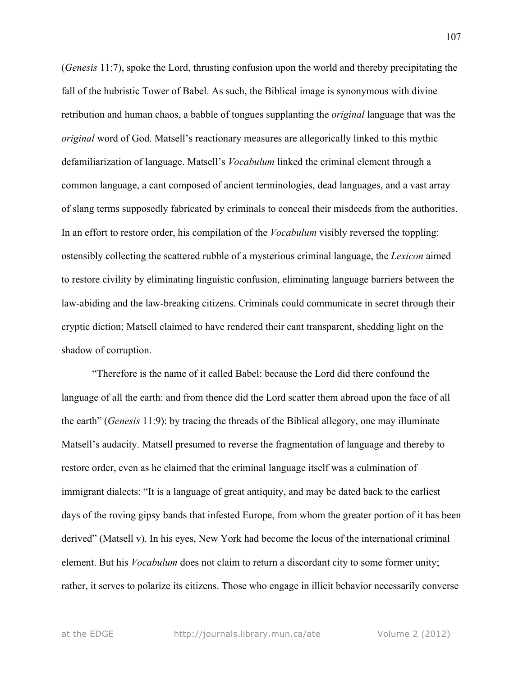(*Genesis* 11:7), spoke the Lord, thrusting confusion upon the world and thereby precipitating the fall of the hubristic Tower of Babel. As such, the Biblical image is synonymous with divine retribution and human chaos, a babble of tongues supplanting the *original* language that was the *original* word of God. Matsell's reactionary measures are allegorically linked to this mythic defamiliarization of language. Matsell's *Vocabulum* linked the criminal element through a common language, a cant composed of ancient terminologies, dead languages, and a vast array of slang terms supposedly fabricated by criminals to conceal their misdeeds from the authorities. In an effort to restore order, his compilation of the *Vocabulum* visibly reversed the toppling: ostensibly collecting the scattered rubble of a mysterious criminal language, the *Lexicon* aimed to restore civility by eliminating linguistic confusion, eliminating language barriers between the law-abiding and the law-breaking citizens. Criminals could communicate in secret through their cryptic diction; Matsell claimed to have rendered their cant transparent, shedding light on the shadow of corruption.

"Therefore is the name of it called Babel: because the Lord did there confound the language of all the earth: and from thence did the Lord scatter them abroad upon the face of all the earth" (*Genesis* 11:9): by tracing the threads of the Biblical allegory, one may illuminate Matsell's audacity. Matsell presumed to reverse the fragmentation of language and thereby to restore order, even as he claimed that the criminal language itself was a culmination of immigrant dialects: "It is a language of great antiquity, and may be dated back to the earliest days of the roving gipsy bands that infested Europe, from whom the greater portion of it has been derived" (Matsell v). In his eyes, New York had become the locus of the international criminal element. But his *Vocabulum* does not claim to return a discordant city to some former unity; rather, it serves to polarize its citizens. Those who engage in illicit behavior necessarily converse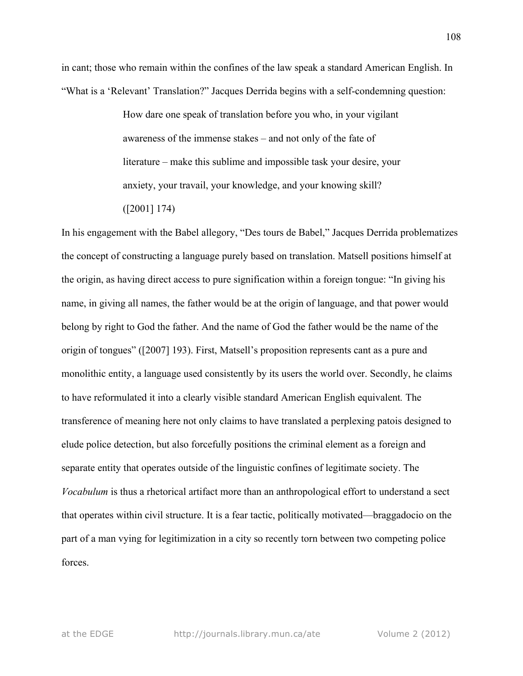in cant; those who remain within the confines of the law speak a standard American English. In "What is a 'Relevant' Translation?" Jacques Derrida begins with a self-condemning question:

> How dare one speak of translation before you who, in your vigilant awareness of the immense stakes – and not only of the fate of literature – make this sublime and impossible task your desire, your anxiety, your travail, your knowledge, and your knowing skill? ([2001] 174)

In his engagement with the Babel allegory, "Des tours de Babel," Jacques Derrida problematizes the concept of constructing a language purely based on translation. Matsell positions himself at the origin, as having direct access to pure signification within a foreign tongue: "In giving his name, in giving all names, the father would be at the origin of language, and that power would belong by right to God the father. And the name of God the father would be the name of the origin of tongues" ([2007] 193). First, Matsell's proposition represents cant as a pure and monolithic entity, a language used consistently by its users the world over. Secondly, he claims to have reformulated it into a clearly visible standard American English equivalent*.* The transference of meaning here not only claims to have translated a perplexing patois designed to elude police detection, but also forcefully positions the criminal element as a foreign and separate entity that operates outside of the linguistic confines of legitimate society. The *Vocabulum* is thus a rhetorical artifact more than an anthropological effort to understand a sect that operates within civil structure. It is a fear tactic, politically motivated—braggadocio on the part of a man vying for legitimization in a city so recently torn between two competing police forces.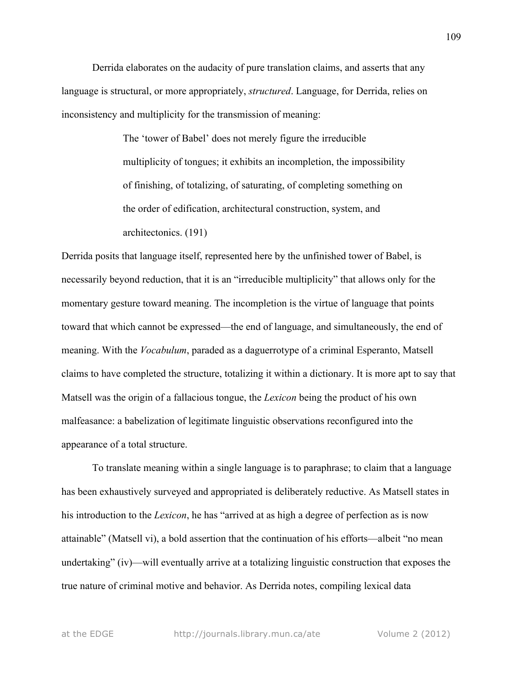Derrida elaborates on the audacity of pure translation claims, and asserts that any language is structural, or more appropriately, *structured*. Language, for Derrida, relies on inconsistency and multiplicity for the transmission of meaning:

> The 'tower of Babel' does not merely figure the irreducible multiplicity of tongues; it exhibits an incompletion, the impossibility of finishing, of totalizing, of saturating, of completing something on the order of edification, architectural construction, system, and architectonics. (191)

Derrida posits that language itself, represented here by the unfinished tower of Babel, is necessarily beyond reduction, that it is an "irreducible multiplicity" that allows only for the momentary gesture toward meaning. The incompletion is the virtue of language that points toward that which cannot be expressed—the end of language, and simultaneously, the end of meaning. With the *Vocabulum*, paraded as a daguerrotype of a criminal Esperanto, Matsell claims to have completed the structure, totalizing it within a dictionary. It is more apt to say that Matsell was the origin of a fallacious tongue, the *Lexicon* being the product of his own malfeasance: a babelization of legitimate linguistic observations reconfigured into the appearance of a total structure.

To translate meaning within a single language is to paraphrase; to claim that a language has been exhaustively surveyed and appropriated is deliberately reductive. As Matsell states in his introduction to the *Lexicon*, he has "arrived at as high a degree of perfection as is now attainable" (Matsell vi), a bold assertion that the continuation of his efforts—albeit "no mean undertaking" (iv)—will eventually arrive at a totalizing linguistic construction that exposes the true nature of criminal motive and behavior. As Derrida notes, compiling lexical data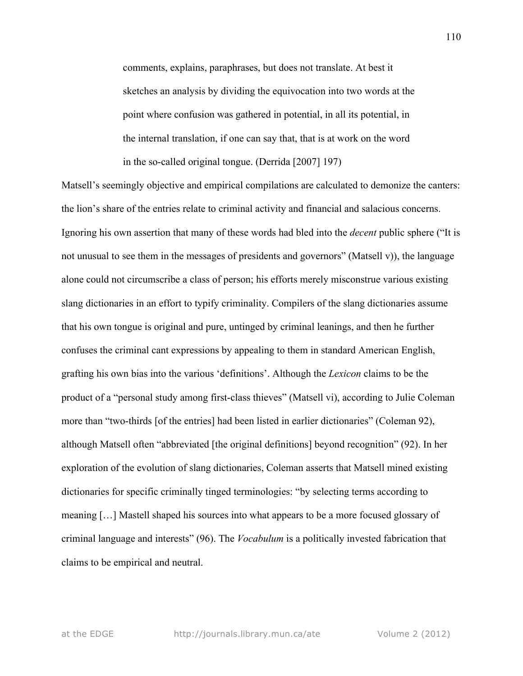comments, explains, paraphrases, but does not translate. At best it sketches an analysis by dividing the equivocation into two words at the point where confusion was gathered in potential, in all its potential, in the internal translation, if one can say that, that is at work on the word in the so-called original tongue. (Derrida [2007] 197)

Matsell's seemingly objective and empirical compilations are calculated to demonize the canters: the lion's share of the entries relate to criminal activity and financial and salacious concerns. Ignoring his own assertion that many of these words had bled into the *decent* public sphere ("It is not unusual to see them in the messages of presidents and governors" (Matsell v)), the language alone could not circumscribe a class of person; his efforts merely misconstrue various existing slang dictionaries in an effort to typify criminality. Compilers of the slang dictionaries assume that his own tongue is original and pure, untinged by criminal leanings, and then he further confuses the criminal cant expressions by appealing to them in standard American English, grafting his own bias into the various 'definitions'. Although the *Lexicon* claims to be the product of a "personal study among first-class thieves" (Matsell vi), according to Julie Coleman more than "two-thirds [of the entries] had been listed in earlier dictionaries" (Coleman 92), although Matsell often "abbreviated [the original definitions] beyond recognition" (92). In her exploration of the evolution of slang dictionaries, Coleman asserts that Matsell mined existing dictionaries for specific criminally tinged terminologies: "by selecting terms according to meaning […] Mastell shaped his sources into what appears to be a more focused glossary of criminal language and interests" (96). The *Vocabulum* is a politically invested fabrication that claims to be empirical and neutral.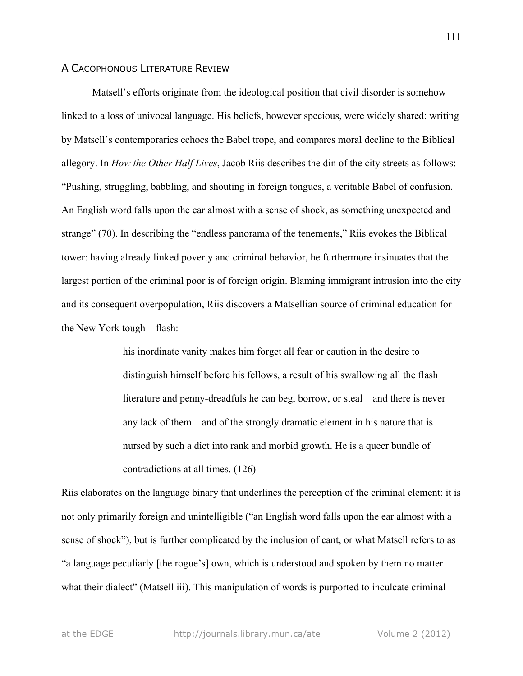#### A CACOPHONOUS LITERATURE REVIEW

Matsell's efforts originate from the ideological position that civil disorder is somehow linked to a loss of univocal language. His beliefs, however specious, were widely shared: writing by Matsell's contemporaries echoes the Babel trope, and compares moral decline to the Biblical allegory. In *How the Other Half Lives*, Jacob Riis describes the din of the city streets as follows: "Pushing, struggling, babbling, and shouting in foreign tongues, a veritable Babel of confusion. An English word falls upon the ear almost with a sense of shock, as something unexpected and strange" (70). In describing the "endless panorama of the tenements," Riis evokes the Biblical tower: having already linked poverty and criminal behavior, he furthermore insinuates that the largest portion of the criminal poor is of foreign origin. Blaming immigrant intrusion into the city and its consequent overpopulation, Riis discovers a Matsellian source of criminal education for the New York tough—flash:

> his inordinate vanity makes him forget all fear or caution in the desire to distinguish himself before his fellows, a result of his swallowing all the flash literature and penny-dreadfuls he can beg, borrow, or steal—and there is never any lack of them—and of the strongly dramatic element in his nature that is nursed by such a diet into rank and morbid growth. He is a queer bundle of contradictions at all times. (126)

Riis elaborates on the language binary that underlines the perception of the criminal element: it is not only primarily foreign and unintelligible ("an English word falls upon the ear almost with a sense of shock"), but is further complicated by the inclusion of cant, or what Matsell refers to as "a language peculiarly [the rogue's] own, which is understood and spoken by them no matter what their dialect" (Matsell iii). This manipulation of words is purported to inculcate criminal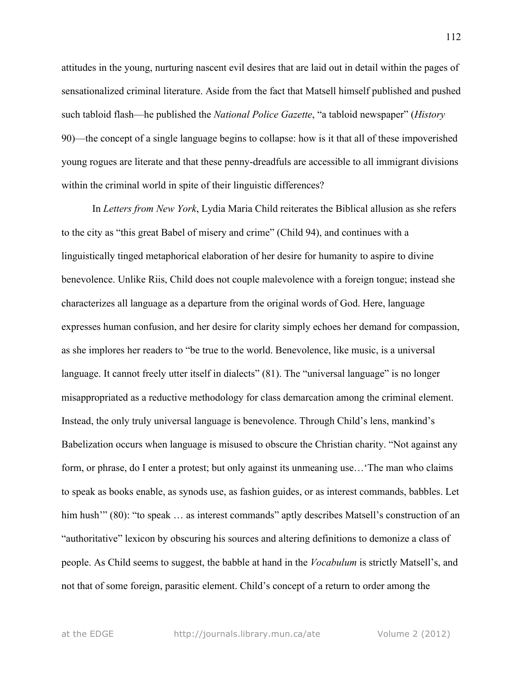attitudes in the young, nurturing nascent evil desires that are laid out in detail within the pages of sensationalized criminal literature. Aside from the fact that Matsell himself published and pushed such tabloid flash—he published the *National Police Gazette*, "a tabloid newspaper" (*History* 90)—the concept of a single language begins to collapse: how is it that all of these impoverished young rogues are literate and that these penny-dreadfuls are accessible to all immigrant divisions within the criminal world in spite of their linguistic differences?

In *Letters from New York*, Lydia Maria Child reiterates the Biblical allusion as she refers to the city as "this great Babel of misery and crime" (Child 94), and continues with a linguistically tinged metaphorical elaboration of her desire for humanity to aspire to divine benevolence. Unlike Riis, Child does not couple malevolence with a foreign tongue; instead she characterizes all language as a departure from the original words of God. Here, language expresses human confusion, and her desire for clarity simply echoes her demand for compassion, as she implores her readers to "be true to the world. Benevolence, like music, is a universal language. It cannot freely utter itself in dialects" (81). The "universal language" is no longer misappropriated as a reductive methodology for class demarcation among the criminal element. Instead, the only truly universal language is benevolence. Through Child's lens, mankind's Babelization occurs when language is misused to obscure the Christian charity. "Not against any form, or phrase, do I enter a protest; but only against its unmeaning use…'The man who claims to speak as books enable, as synods use, as fashion guides, or as interest commands, babbles. Let him hush"" (80): "to speak ... as interest commands" aptly describes Matsell's construction of an "authoritative" lexicon by obscuring his sources and altering definitions to demonize a class of people. As Child seems to suggest, the babble at hand in the *Vocabulum* is strictly Matsell's, and not that of some foreign, parasitic element. Child's concept of a return to order among the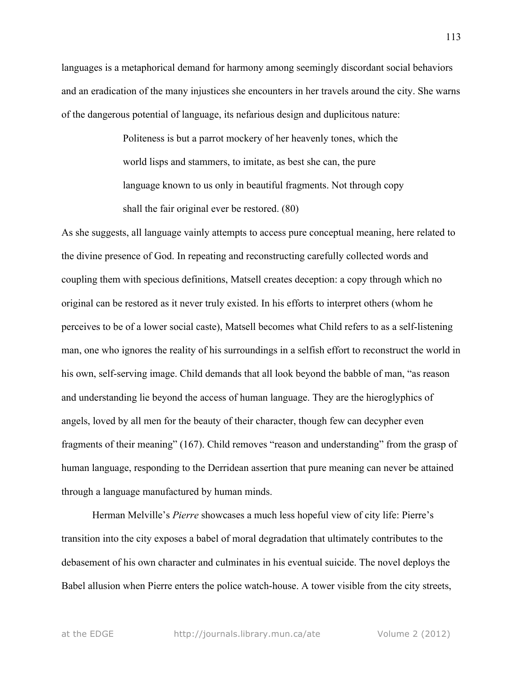languages is a metaphorical demand for harmony among seemingly discordant social behaviors and an eradication of the many injustices she encounters in her travels around the city. She warns of the dangerous potential of language, its nefarious design and duplicitous nature:

> Politeness is but a parrot mockery of her heavenly tones, which the world lisps and stammers, to imitate, as best she can, the pure language known to us only in beautiful fragments. Not through copy shall the fair original ever be restored. (80)

As she suggests, all language vainly attempts to access pure conceptual meaning, here related to the divine presence of God. In repeating and reconstructing carefully collected words and coupling them with specious definitions, Matsell creates deception: a copy through which no original can be restored as it never truly existed. In his efforts to interpret others (whom he perceives to be of a lower social caste), Matsell becomes what Child refers to as a self-listening man, one who ignores the reality of his surroundings in a selfish effort to reconstruct the world in his own, self-serving image. Child demands that all look beyond the babble of man, "as reason and understanding lie beyond the access of human language. They are the hieroglyphics of angels, loved by all men for the beauty of their character, though few can decypher even fragments of their meaning" (167). Child removes "reason and understanding" from the grasp of human language, responding to the Derridean assertion that pure meaning can never be attained through a language manufactured by human minds.

Herman Melville's *Pierre* showcases a much less hopeful view of city life: Pierre's transition into the city exposes a babel of moral degradation that ultimately contributes to the debasement of his own character and culminates in his eventual suicide. The novel deploys the Babel allusion when Pierre enters the police watch-house. A tower visible from the city streets,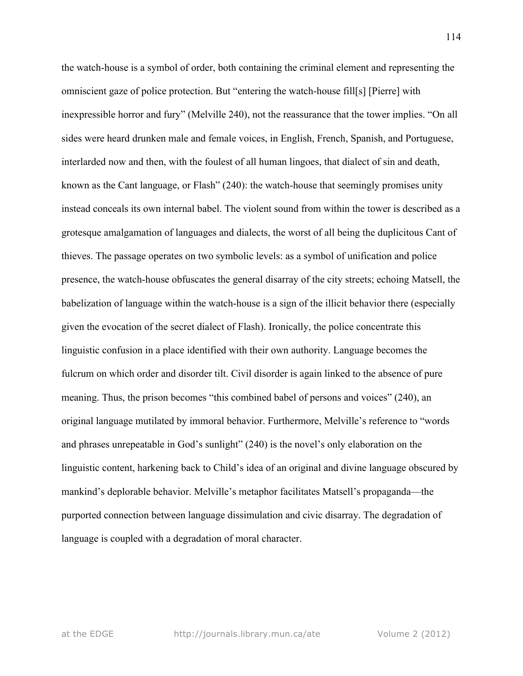the watch-house is a symbol of order, both containing the criminal element and representing the omniscient gaze of police protection. But "entering the watch-house fill[s] [Pierre] with inexpressible horror and fury" (Melville 240), not the reassurance that the tower implies. "On all sides were heard drunken male and female voices, in English, French, Spanish, and Portuguese, interlarded now and then, with the foulest of all human lingoes, that dialect of sin and death, known as the Cant language, or Flash" (240): the watch-house that seemingly promises unity instead conceals its own internal babel. The violent sound from within the tower is described as a grotesque amalgamation of languages and dialects, the worst of all being the duplicitous Cant of thieves. The passage operates on two symbolic levels: as a symbol of unification and police presence, the watch-house obfuscates the general disarray of the city streets; echoing Matsell, the babelization of language within the watch-house is a sign of the illicit behavior there (especially given the evocation of the secret dialect of Flash). Ironically, the police concentrate this linguistic confusion in a place identified with their own authority. Language becomes the fulcrum on which order and disorder tilt. Civil disorder is again linked to the absence of pure meaning. Thus, the prison becomes "this combined babel of persons and voices" (240), an original language mutilated by immoral behavior. Furthermore, Melville's reference to "words and phrases unrepeatable in God's sunlight" (240) is the novel's only elaboration on the linguistic content, harkening back to Child's idea of an original and divine language obscured by mankind's deplorable behavior. Melville's metaphor facilitates Matsell's propaganda—the purported connection between language dissimulation and civic disarray. The degradation of language is coupled with a degradation of moral character.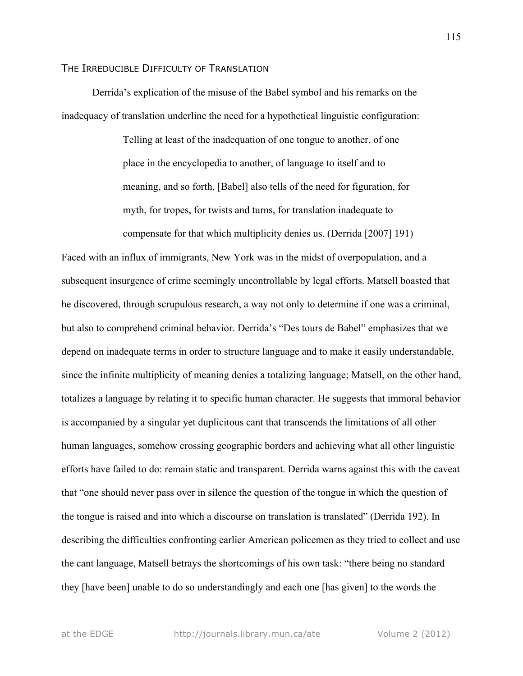### THE IRREDUCIBLE DIFFICULTY OF TRANSLATION

Derrida's explication of the misuse of the Babel symbol and his remarks on the inadequacy of translation underline the need for a hypothetical linguistic configuration:

> Telling at least of the inadequation of one tongue to another, of one place in the encyclopedia to another, of language to itself and to meaning, and so forth, [Babel] also tells of the need for figuration, for myth, for tropes, for twists and turns, for translation inadequate to compensate for that which multiplicity denies us. (Derrida [2007] 191)

Faced with an influx of immigrants, New York was in the midst of overpopulation, and a subsequent insurgence of crime seemingly uncontrollable by legal efforts. Matsell boasted that he discovered, through scrupulous research, a way not only to determine if one was a criminal, but also to comprehend criminal behavior. Derrida's "Des tours de Babel" emphasizes that we depend on inadequate terms in order to structure language and to make it easily understandable, since the infinite multiplicity of meaning denies a totalizing language; Matsell, on the other hand, totalizes a language by relating it to specific human character. He suggests that immoral behavior is accompanied by a singular yet duplicitous cant that transcends the limitations of all other human languages, somehow crossing geographic borders and achieving what all other linguistic efforts have failed to do: remain static and transparent. Derrida warns against this with the caveat that "one should never pass over in silence the question of the tongue in which the question of the tongue is raised and into which a discourse on translation is translated" (Derrida 192). In describing the difficulties confronting earlier American policemen as they tried to collect and use the cant language, Matsell betrays the shortcomings of his own task: "there being no standard they [have been] unable to do so understandingly and each one [has given] to the words the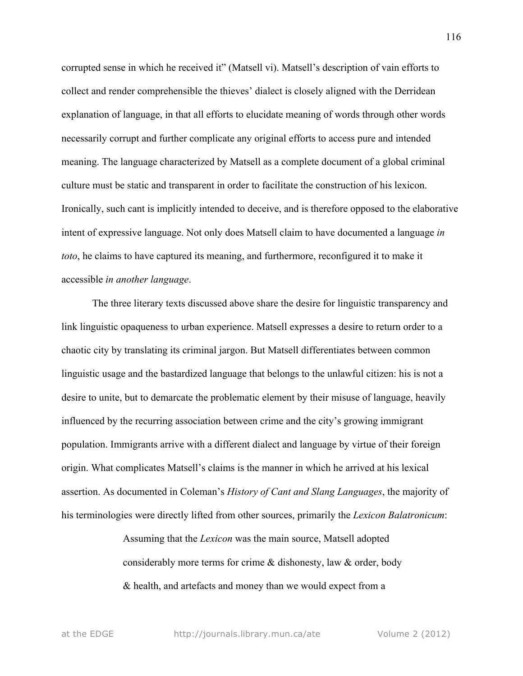corrupted sense in which he received it" (Matsell vi). Matsell's description of vain efforts to collect and render comprehensible the thieves' dialect is closely aligned with the Derridean explanation of language, in that all efforts to elucidate meaning of words through other words necessarily corrupt and further complicate any original efforts to access pure and intended meaning. The language characterized by Matsell as a complete document of a global criminal culture must be static and transparent in order to facilitate the construction of his lexicon. Ironically, such cant is implicitly intended to deceive, and is therefore opposed to the elaborative intent of expressive language. Not only does Matsell claim to have documented a language *in toto*, he claims to have captured its meaning, and furthermore, reconfigured it to make it accessible *in another language*.

The three literary texts discussed above share the desire for linguistic transparency and link linguistic opaqueness to urban experience. Matsell expresses a desire to return order to a chaotic city by translating its criminal jargon. But Matsell differentiates between common linguistic usage and the bastardized language that belongs to the unlawful citizen: his is not a desire to unite, but to demarcate the problematic element by their misuse of language, heavily influenced by the recurring association between crime and the city's growing immigrant population. Immigrants arrive with a different dialect and language by virtue of their foreign origin. What complicates Matsell's claims is the manner in which he arrived at his lexical assertion. As documented in Coleman's *History of Cant and Slang Languages*, the majority of his terminologies were directly lifted from other sources, primarily the *Lexicon Balatronicum*:

> Assuming that the *Lexicon* was the main source, Matsell adopted considerably more terms for crime & dishonesty, law & order, body & health, and artefacts and money than we would expect from a

at the EDGE http://journals.library.mun.ca/ate Volume 2 (2012)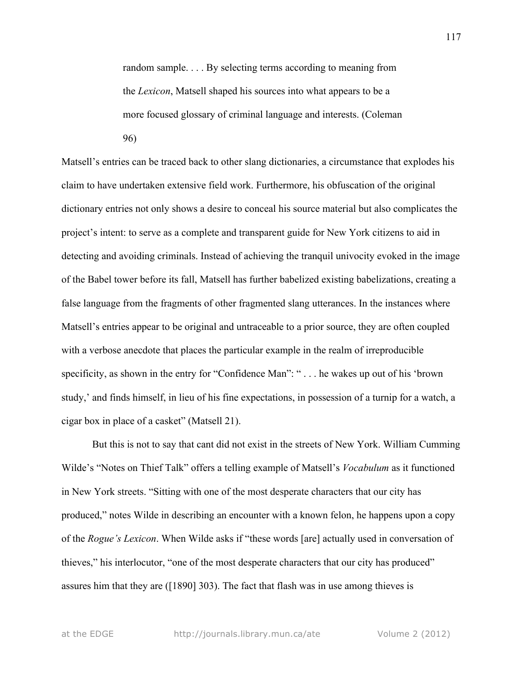random sample. . . . By selecting terms according to meaning from the *Lexicon*, Matsell shaped his sources into what appears to be a more focused glossary of criminal language and interests. (Coleman 96)

Matsell's entries can be traced back to other slang dictionaries, a circumstance that explodes his claim to have undertaken extensive field work. Furthermore, his obfuscation of the original dictionary entries not only shows a desire to conceal his source material but also complicates the project's intent: to serve as a complete and transparent guide for New York citizens to aid in detecting and avoiding criminals. Instead of achieving the tranquil univocity evoked in the image of the Babel tower before its fall, Matsell has further babelized existing babelizations, creating a false language from the fragments of other fragmented slang utterances. In the instances where Matsell's entries appear to be original and untraceable to a prior source, they are often coupled with a verbose anecdote that places the particular example in the realm of irreproducible specificity, as shown in the entry for "Confidence Man": " . . . he wakes up out of his 'brown study,' and finds himself, in lieu of his fine expectations, in possession of a turnip for a watch, a cigar box in place of a casket" (Matsell 21).

But this is not to say that cant did not exist in the streets of New York. William Cumming Wilde's "Notes on Thief Talk" offers a telling example of Matsell's *Vocabulum* as it functioned in New York streets. "Sitting with one of the most desperate characters that our city has produced," notes Wilde in describing an encounter with a known felon, he happens upon a copy of the *Rogue's Lexicon*. When Wilde asks if "these words [are] actually used in conversation of thieves," his interlocutor, "one of the most desperate characters that our city has produced" assures him that they are ([1890] 303). The fact that flash was in use among thieves is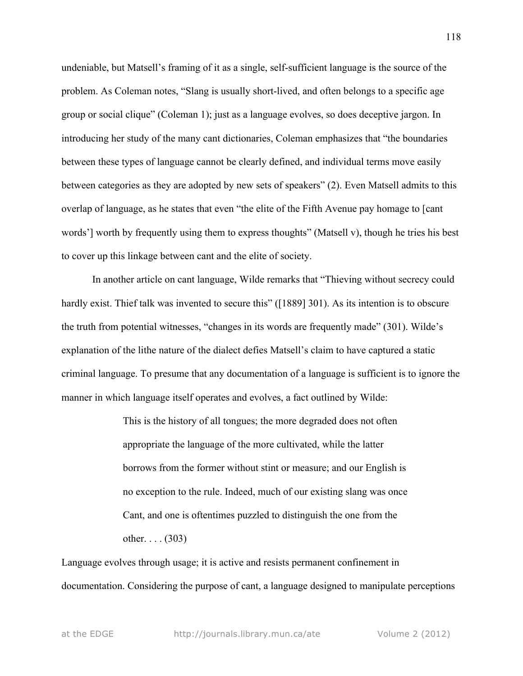undeniable, but Matsell's framing of it as a single, self-sufficient language is the source of the problem. As Coleman notes, "Slang is usually short-lived, and often belongs to a specific age group or social clique" (Coleman 1); just as a language evolves, so does deceptive jargon. In introducing her study of the many cant dictionaries, Coleman emphasizes that "the boundaries between these types of language cannot be clearly defined, and individual terms move easily between categories as they are adopted by new sets of speakers" (2). Even Matsell admits to this overlap of language, as he states that even "the elite of the Fifth Avenue pay homage to [cant words'] worth by frequently using them to express thoughts" (Matsell v), though he tries his best to cover up this linkage between cant and the elite of society.

In another article on cant language, Wilde remarks that "Thieving without secrecy could hardly exist. Thief talk was invented to secure this" ([1889] 301). As its intention is to obscure the truth from potential witnesses, "changes in its words are frequently made" (301). Wilde's explanation of the lithe nature of the dialect defies Matsell's claim to have captured a static criminal language. To presume that any documentation of a language is sufficient is to ignore the manner in which language itself operates and evolves, a fact outlined by Wilde:

> This is the history of all tongues; the more degraded does not often appropriate the language of the more cultivated, while the latter borrows from the former without stint or measure; and our English is no exception to the rule. Indeed, much of our existing slang was once Cant, and one is oftentimes puzzled to distinguish the one from the other.  $\ldots$  (303)

Language evolves through usage; it is active and resists permanent confinement in documentation. Considering the purpose of cant, a language designed to manipulate perceptions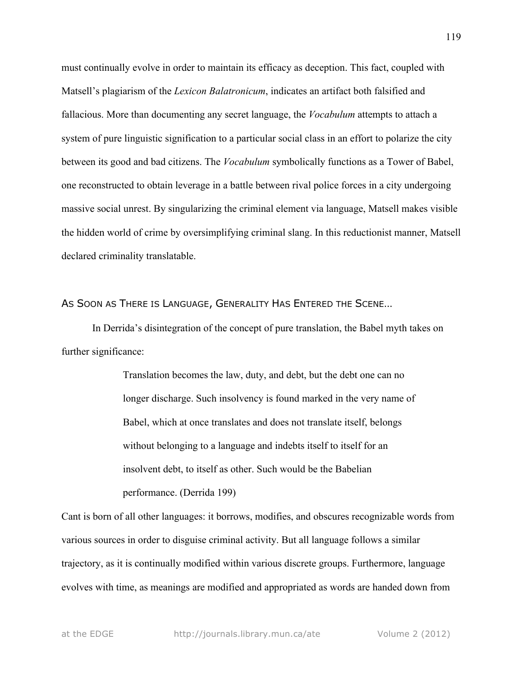must continually evolve in order to maintain its efficacy as deception. This fact, coupled with Matsell's plagiarism of the *Lexicon Balatronicum*, indicates an artifact both falsified and fallacious. More than documenting any secret language, the *Vocabulum* attempts to attach a system of pure linguistic signification to a particular social class in an effort to polarize the city between its good and bad citizens. The *Vocabulum* symbolically functions as a Tower of Babel, one reconstructed to obtain leverage in a battle between rival police forces in a city undergoing massive social unrest. By singularizing the criminal element via language, Matsell makes visible the hidden world of crime by oversimplifying criminal slang. In this reductionist manner, Matsell declared criminality translatable.

AS SOON AS THERE IS LANGUAGE, GENERALITY HAS ENTERED THE SCENE…

In Derrida's disintegration of the concept of pure translation, the Babel myth takes on further significance:

> Translation becomes the law, duty, and debt, but the debt one can no longer discharge. Such insolvency is found marked in the very name of Babel, which at once translates and does not translate itself, belongs without belonging to a language and indebts itself to itself for an insolvent debt, to itself as other. Such would be the Babelian performance. (Derrida 199)

Cant is born of all other languages: it borrows, modifies, and obscures recognizable words from various sources in order to disguise criminal activity. But all language follows a similar trajectory, as it is continually modified within various discrete groups. Furthermore, language evolves with time, as meanings are modified and appropriated as words are handed down from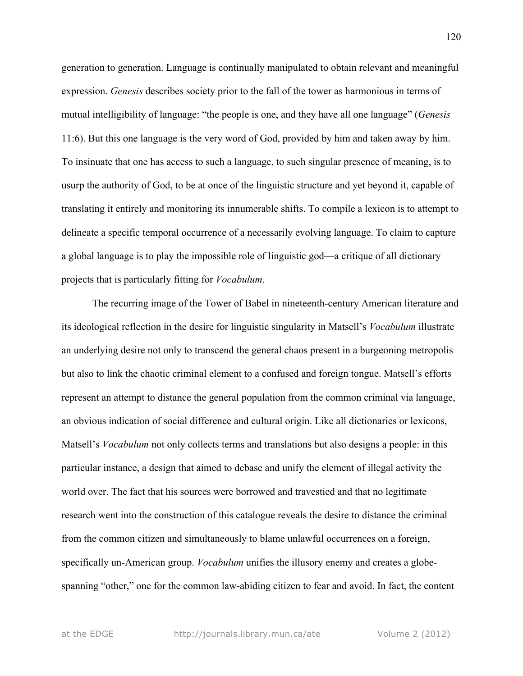generation to generation. Language is continually manipulated to obtain relevant and meaningful expression. *Genesis* describes society prior to the fall of the tower as harmonious in terms of mutual intelligibility of language: "the people is one, and they have all one language" (*Genesis* 11:6). But this one language is the very word of God, provided by him and taken away by him. To insinuate that one has access to such a language, to such singular presence of meaning, is to usurp the authority of God, to be at once of the linguistic structure and yet beyond it, capable of translating it entirely and monitoring its innumerable shifts. To compile a lexicon is to attempt to delineate a specific temporal occurrence of a necessarily evolving language. To claim to capture a global language is to play the impossible role of linguistic god—a critique of all dictionary projects that is particularly fitting for *Vocabulum*.

The recurring image of the Tower of Babel in nineteenth-century American literature and its ideological reflection in the desire for linguistic singularity in Matsell's *Vocabulum* illustrate an underlying desire not only to transcend the general chaos present in a burgeoning metropolis but also to link the chaotic criminal element to a confused and foreign tongue. Matsell's efforts represent an attempt to distance the general population from the common criminal via language, an obvious indication of social difference and cultural origin. Like all dictionaries or lexicons, Matsell's *Vocabulum* not only collects terms and translations but also designs a people: in this particular instance, a design that aimed to debase and unify the element of illegal activity the world over. The fact that his sources were borrowed and travestied and that no legitimate research went into the construction of this catalogue reveals the desire to distance the criminal from the common citizen and simultaneously to blame unlawful occurrences on a foreign, specifically un-American group. *Vocabulum* unifies the illusory enemy and creates a globespanning "other," one for the common law-abiding citizen to fear and avoid. In fact, the content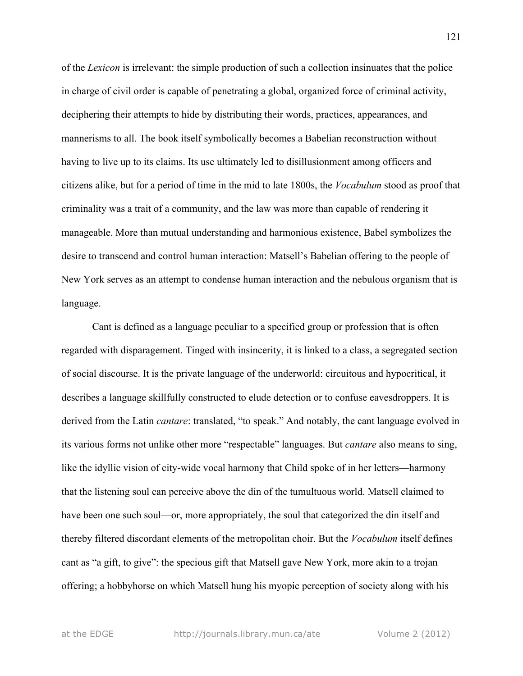of the *Lexicon* is irrelevant: the simple production of such a collection insinuates that the police in charge of civil order is capable of penetrating a global, organized force of criminal activity, deciphering their attempts to hide by distributing their words, practices, appearances, and mannerisms to all. The book itself symbolically becomes a Babelian reconstruction without having to live up to its claims. Its use ultimately led to disillusionment among officers and citizens alike, but for a period of time in the mid to late 1800s, the *Vocabulum* stood as proof that criminality was a trait of a community, and the law was more than capable of rendering it manageable. More than mutual understanding and harmonious existence, Babel symbolizes the desire to transcend and control human interaction: Matsell's Babelian offering to the people of New York serves as an attempt to condense human interaction and the nebulous organism that is language.

Cant is defined as a language peculiar to a specified group or profession that is often regarded with disparagement. Tinged with insincerity, it is linked to a class, a segregated section of social discourse. It is the private language of the underworld: circuitous and hypocritical, it describes a language skillfully constructed to elude detection or to confuse eavesdroppers. It is derived from the Latin *cantare*: translated, "to speak." And notably, the cant language evolved in its various forms not unlike other more "respectable" languages. But *cantare* also means to sing, like the idyllic vision of city-wide vocal harmony that Child spoke of in her letters—harmony that the listening soul can perceive above the din of the tumultuous world. Matsell claimed to have been one such soul—or, more appropriately, the soul that categorized the din itself and thereby filtered discordant elements of the metropolitan choir. But the *Vocabulum* itself defines cant as "a gift, to give": the specious gift that Matsell gave New York, more akin to a trojan offering; a hobbyhorse on which Matsell hung his myopic perception of society along with his